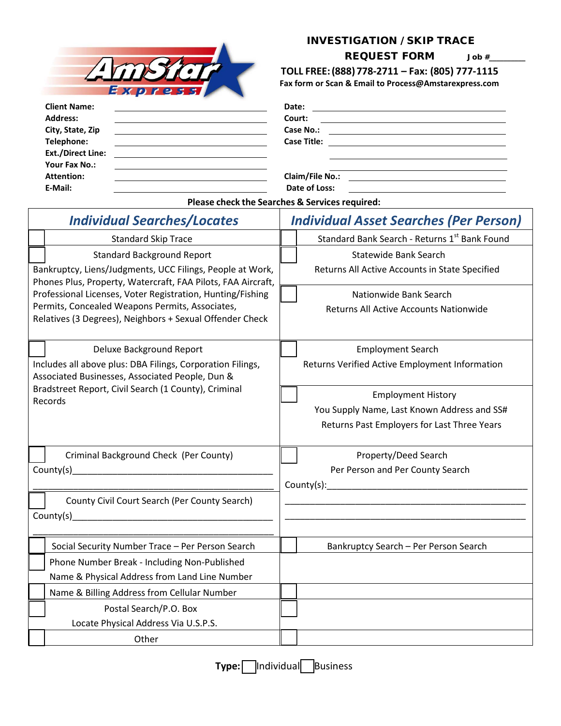

## INVESTIGATION / SKIP TRACE

**REQUEST FORM** Job #

 **TOLL FREE:(888) 778‐2711 – Fax: (805) 777-1115 Fax form or Scan & Email to Process@Amstarexpress.com**

| <b>Client Name:</b>                                                                       | Date:<br><u> 1989 - John Stein, Amerikaansk politiker (* 1958)</u>                                                                                                                                                                                |
|-------------------------------------------------------------------------------------------|---------------------------------------------------------------------------------------------------------------------------------------------------------------------------------------------------------------------------------------------------|
| <b>Address:</b>                                                                           | Court:                                                                                                                                                                                                                                            |
| City, State, Zip<br><u> 1980 - Andrea Andrew Maria (h. 1980).</u>                         | Case No.:<br><u> El antiga de la contenentación de la contenentación de la contenentación de la contenentación de la contenentación de la contenentación de la contenentación de la contenentación de la contenentación de la contenentación </u> |
| Telephone:                                                                                |                                                                                                                                                                                                                                                   |
| <b>Ext./Direct Line:</b><br><u> 1989 - Andrea Stadt Britain, fransk politik (d. 1989)</u> |                                                                                                                                                                                                                                                   |
| Your Fax No.:                                                                             |                                                                                                                                                                                                                                                   |
| <b>Attention:</b>                                                                         | Claim/File No.:<br><u> 1989 - Johann Barnett, fransk politik (d. 1989)</u>                                                                                                                                                                        |
| E-Mail:                                                                                   | Date of Loss:                                                                                                                                                                                                                                     |

**Please check the Searches & Services required:**

| <b>Individual Searches/Locates</b>                                                                                                                                                                                             | <b>Individual Asset Searches (Per Person)</b>  |  |  |  |
|--------------------------------------------------------------------------------------------------------------------------------------------------------------------------------------------------------------------------------|------------------------------------------------|--|--|--|
| <b>Standard Skip Trace</b>                                                                                                                                                                                                     | Standard Bank Search - Returns 1st Bank Found  |  |  |  |
| <b>Standard Background Report</b>                                                                                                                                                                                              | Statewide Bank Search                          |  |  |  |
| Bankruptcy, Liens/Judgments, UCC Filings, People at Work,<br>Phones Plus, Property, Watercraft, FAA Pilots, FAA Aircraft,                                                                                                      | Returns All Active Accounts in State Specified |  |  |  |
| Professional Licenses, Voter Registration, Hunting/Fishing                                                                                                                                                                     | Nationwide Bank Search                         |  |  |  |
| Permits, Concealed Weapons Permits, Associates,<br>Relatives (3 Degrees), Neighbors + Sexual Offender Check                                                                                                                    | Returns All Active Accounts Nationwide         |  |  |  |
| Deluxe Background Report                                                                                                                                                                                                       | <b>Employment Search</b>                       |  |  |  |
| Includes all above plus: DBA Filings, Corporation Filings,<br>Associated Businesses, Associated People, Dun &                                                                                                                  | Returns Verified Active Employment Information |  |  |  |
| Bradstreet Report, Civil Search (1 County), Criminal<br>Records                                                                                                                                                                | <b>Employment History</b>                      |  |  |  |
|                                                                                                                                                                                                                                | You Supply Name, Last Known Address and SS#    |  |  |  |
|                                                                                                                                                                                                                                | Returns Past Employers for Last Three Years    |  |  |  |
| Criminal Background Check (Per County)                                                                                                                                                                                         | Property/Deed Search                           |  |  |  |
| County(s) example a series of the series of the series of the series of the series of the series of the series                                                                                                                 | Per Person and Per County Search               |  |  |  |
|                                                                                                                                                                                                                                |                                                |  |  |  |
| County Civil Court Search (Per County Search)                                                                                                                                                                                  |                                                |  |  |  |
| County(s) example a series of the series of the series of the series of the series of the series of the series of the series of the series of the series of the series of the series of the series of the series of the series |                                                |  |  |  |
|                                                                                                                                                                                                                                |                                                |  |  |  |
| Social Security Number Trace - Per Person Search                                                                                                                                                                               | Bankruptcy Search - Per Person Search          |  |  |  |
| Phone Number Break - Including Non-Published                                                                                                                                                                                   |                                                |  |  |  |
| Name & Physical Address from Land Line Number                                                                                                                                                                                  |                                                |  |  |  |
| Name & Billing Address from Cellular Number                                                                                                                                                                                    |                                                |  |  |  |
| Postal Search/P.O. Box                                                                                                                                                                                                         |                                                |  |  |  |
| Locate Physical Address Via U.S.P.S.                                                                                                                                                                                           |                                                |  |  |  |
| Other                                                                                                                                                                                                                          |                                                |  |  |  |